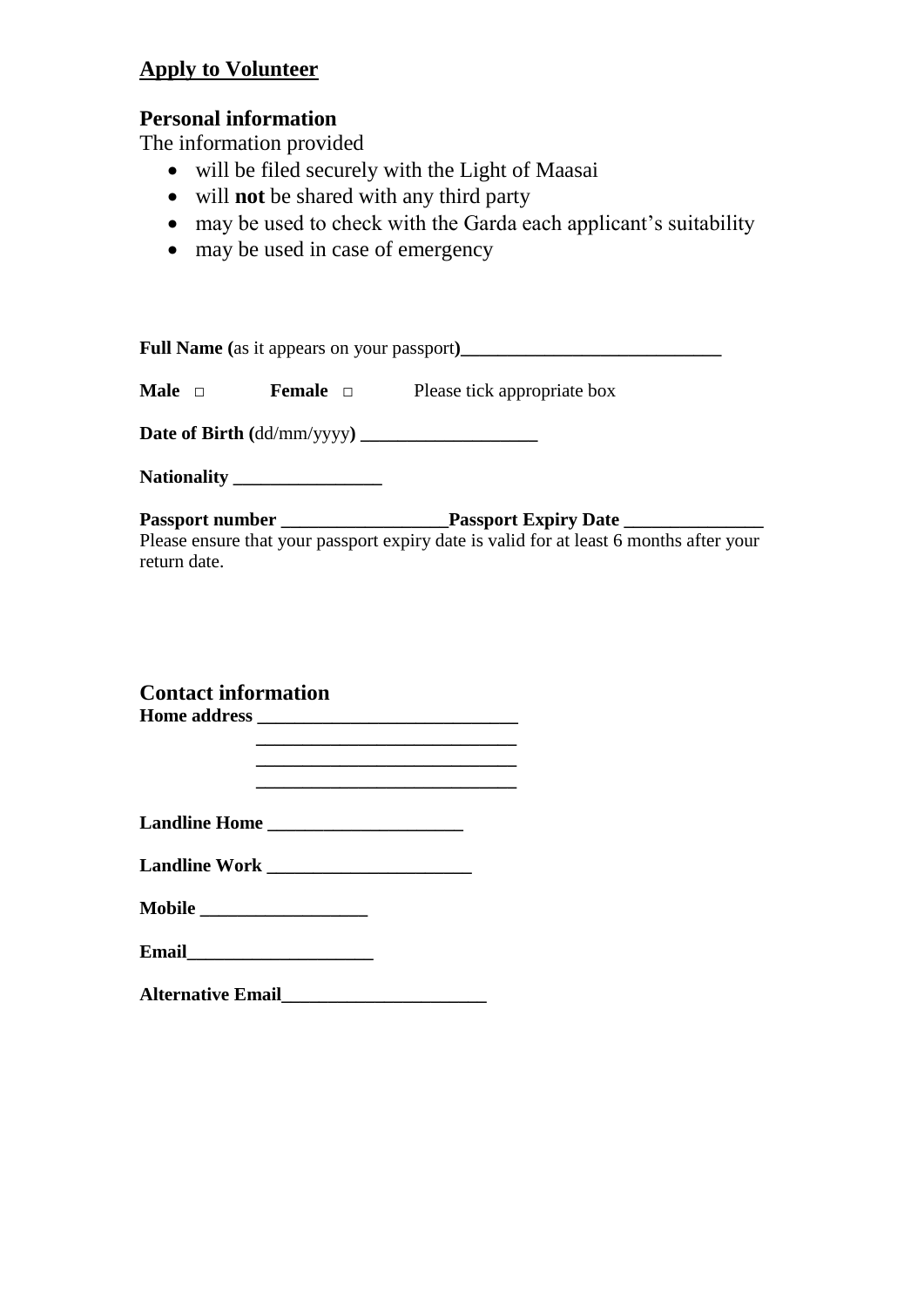## **Apply to Volunteer**

## **Personal information**

The information provided

- will be filed securely with the Light of Maasai
- will **not** be shared with any third party
- may be used to check with the Garda each applicant's suitability
- may be used in case of emergency

|                            | <b>Male</b> $\Box$ <b>Female</b> $\Box$ <b>Please tick appropriate box</b>             |
|----------------------------|----------------------------------------------------------------------------------------|
|                            |                                                                                        |
|                            |                                                                                        |
| return date.               | Please ensure that your passport expiry date is valid for at least 6 months after your |
| <b>Contact information</b> | <u> 1989 - Johann John Stone, mars et al. (1989)</u>                                   |
|                            |                                                                                        |
|                            |                                                                                        |

| ванашке тторы |  |
|---------------|--|
|               |  |
|               |  |
|               |  |
|               |  |
|               |  |

| <b>Mobile</b> |  |
|---------------|--|
|               |  |

**Email\_\_\_\_\_\_\_\_\_\_\_\_\_\_\_\_\_\_\_\_** 

**Alternative Email\_\_\_\_\_\_\_\_\_\_\_\_\_\_\_\_\_\_\_\_\_\_**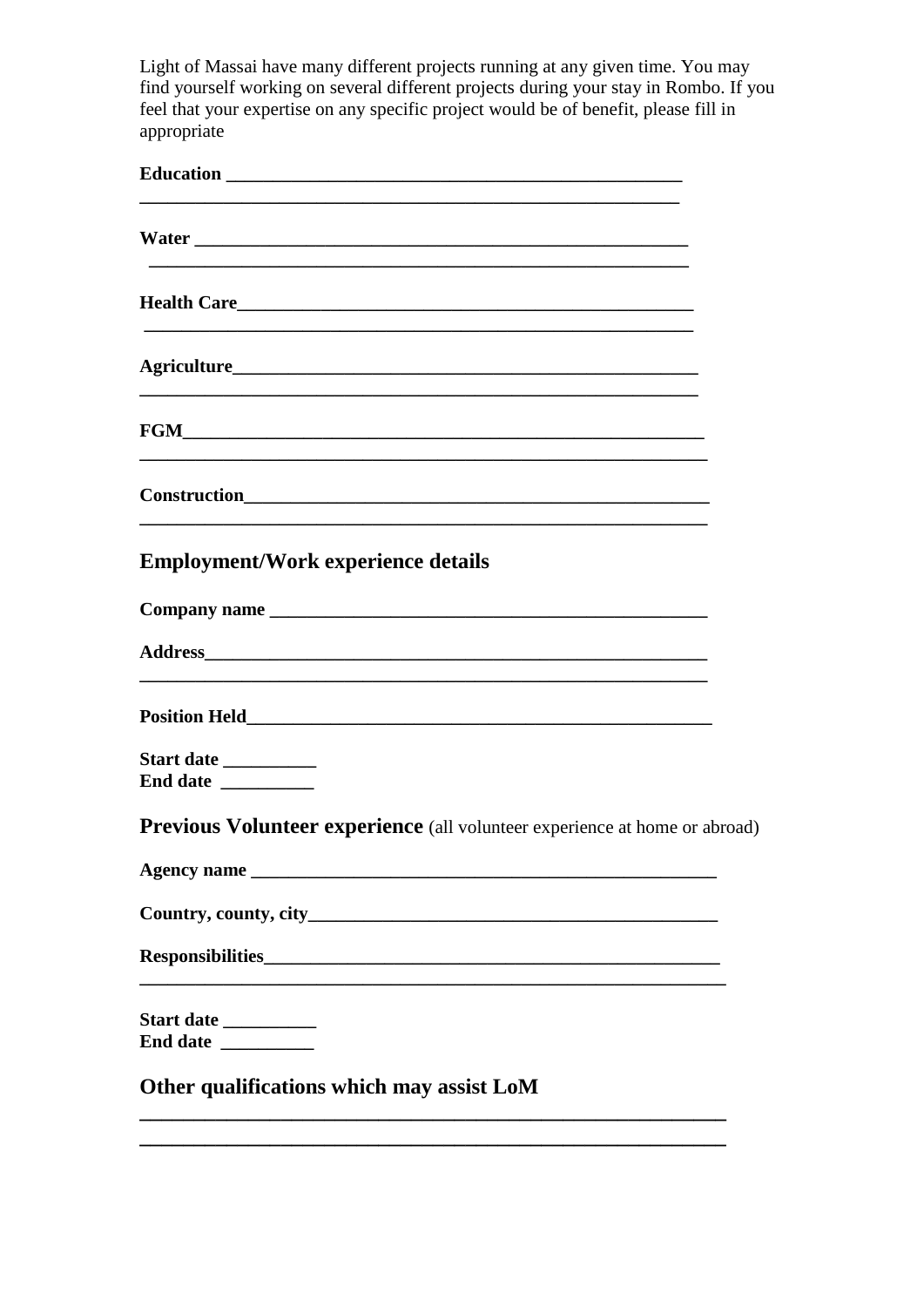Light of Massai have many different projects running at any given time. You may find yourself working on several different projects during your stay in Rombo. If you feel that your expertise on any specific project would be of benefit, please fill in appropriate

| <b>Employment/Work experience details</b>                                         |
|-----------------------------------------------------------------------------------|
|                                                                                   |
|                                                                                   |
|                                                                                   |
| Start date __________<br>End date                                                 |
| <b>Previous Volunteer experience</b> (all volunteer experience at home or abroad) |
|                                                                                   |
|                                                                                   |
|                                                                                   |
| Start date __________<br>End date                                                 |
| Other qualifications which may assist LoM                                         |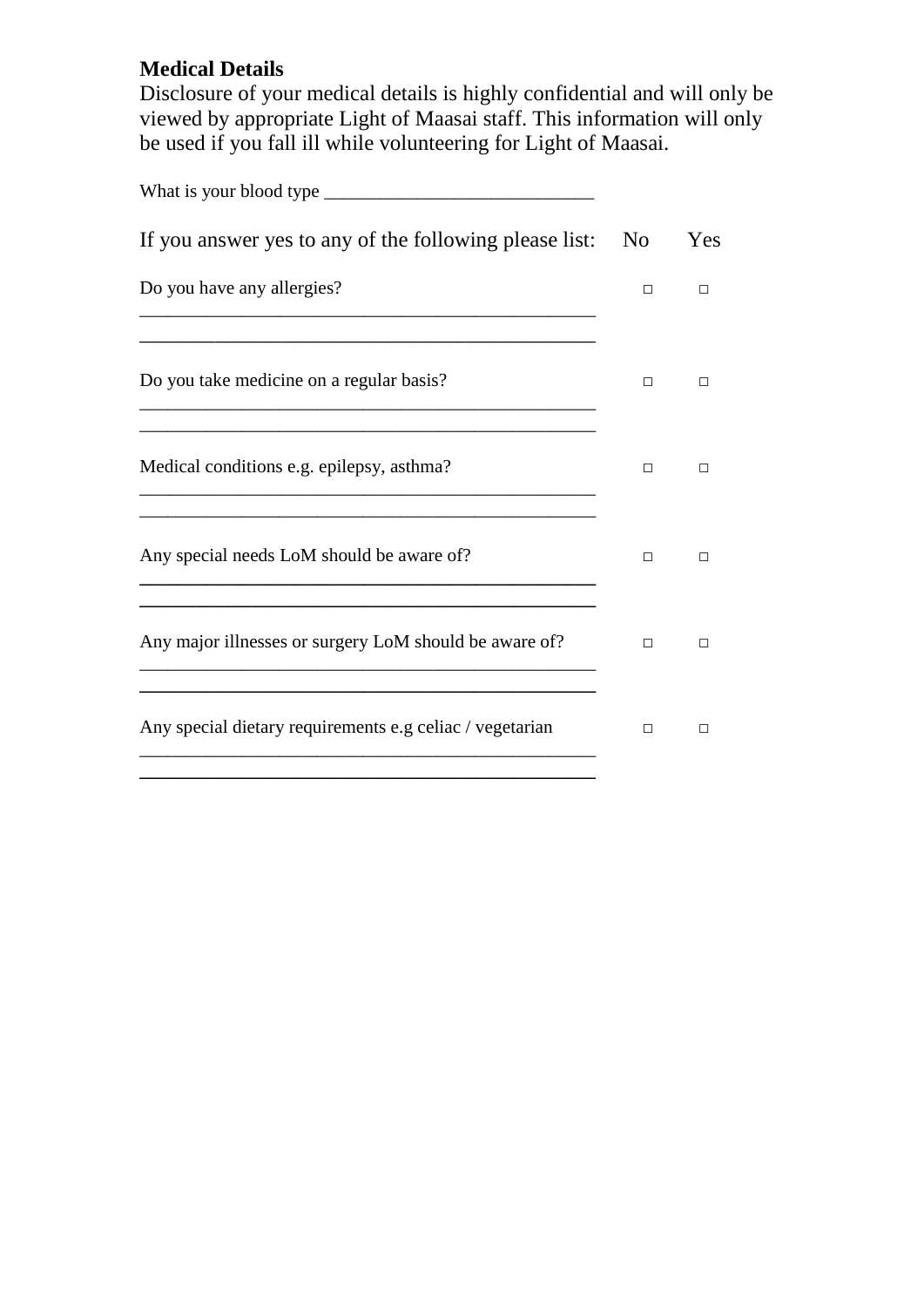## **Medical Details**

Disclosure of your medical details is highly confidential and will only be viewed by appropriate Light of Maasai staff. This information will only be used if you fall ill while volunteering for Light of Maasai.

| If you answer yes to any of the following please list:   | N <sub>0</sub> | Yes |
|----------------------------------------------------------|----------------|-----|
| Do you have any allergies?                               | П              | п   |
| Do you take medicine on a regular basis?                 | П              | п   |
| Medical conditions e.g. epilepsy, asthma?                | п              | п   |
| Any special needs LoM should be aware of?                | П              | п   |
| Any major illnesses or surgery LoM should be aware of?   | п              | п   |
| Any special dietary requirements e.g celiac / vegetarian | П              | П   |
|                                                          |                |     |